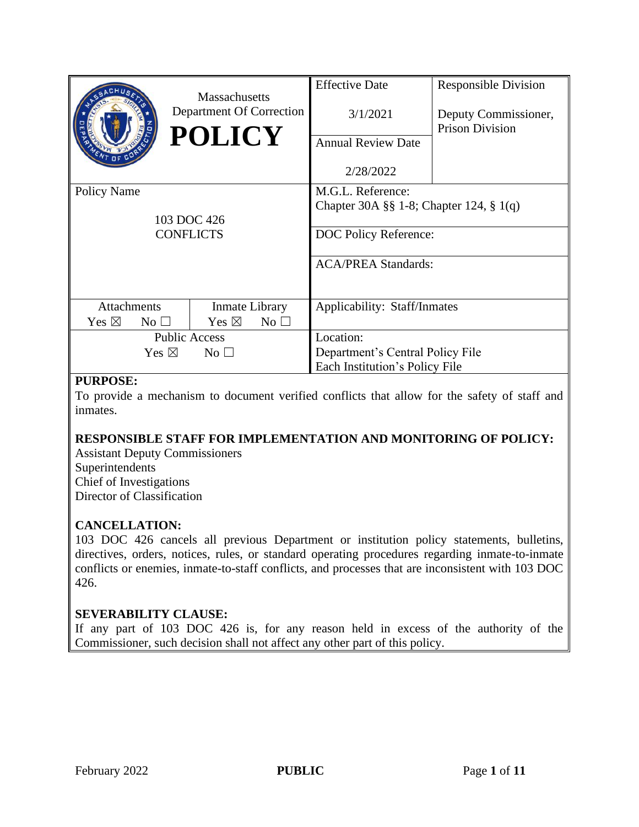|                    |                 | <b>Massachusetts</b>              | <b>Effective Date</b>                        | <b>Responsible Division</b>                    |
|--------------------|-----------------|-----------------------------------|----------------------------------------------|------------------------------------------------|
|                    |                 | Department Of Correction          | 3/1/2021                                     | Deputy Commissioner,<br><b>Prison Division</b> |
|                    |                 | <b>POLICY</b>                     | <b>Annual Review Date</b>                    |                                                |
|                    |                 |                                   | 2/28/2022                                    |                                                |
| Policy Name        |                 |                                   | M.G.L. Reference:                            |                                                |
|                    |                 |                                   | Chapter 30A $\S$ 1-8; Chapter 124, $\S$ 1(q) |                                                |
|                    |                 | 103 DOC 426                       |                                              |                                                |
| <b>CONFLICTS</b>   |                 |                                   | DOC Policy Reference:                        |                                                |
|                    |                 |                                   | <b>ACA/PREA Standards:</b>                   |                                                |
|                    |                 |                                   |                                              |                                                |
| <b>Attachments</b> |                 | Inmate Library                    | Applicability: Staff/Inmates                 |                                                |
| Yes $\boxtimes$    | $No$ $\square$  | Yes $\boxtimes$<br>$No$ $\square$ |                                              |                                                |
|                    |                 | <b>Public Access</b>              | Location:                                    |                                                |
|                    | Yes $\boxtimes$ | No <sub>1</sub>                   | Department's Central Policy File             |                                                |
|                    |                 |                                   | Each Institution's Policy File               |                                                |

### **PURPOSE:**

To provide a mechanism to document verified conflicts that allow for the safety of staff and inmates.

### **RESPONSIBLE STAFF FOR IMPLEMENTATION AND MONITORING OF POLICY:**

Assistant Deputy Commissioners Superintendents Chief of Investigations Director of Classification

### **CANCELLATION:**

103 DOC 426 cancels all previous Department or institution policy statements, bulletins, directives, orders, notices, rules, or standard operating procedures regarding inmate-to-inmate conflicts or enemies, inmate-to-staff conflicts, and processes that are inconsistent with 103 DOC 426.

### **SEVERABILITY CLAUSE:**

If any part of 103 DOC 426 is, for any reason held in excess of the authority of the Commissioner, such decision shall not affect any other part of this policy.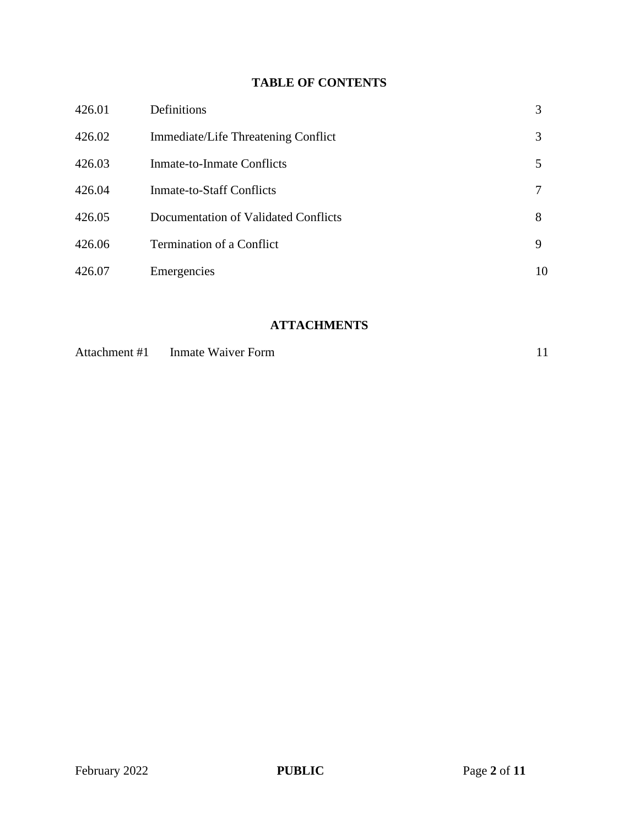# **TABLE OF CONTENTS**

| 426.01 | Definitions                          | 3  |
|--------|--------------------------------------|----|
| 426.02 | Immediate/Life Threatening Conflict  | 3  |
| 426.03 | Inmate-to-Inmate Conflicts           | 5  |
| 426.04 | <b>Inmate-to-Staff Conflicts</b>     | 7  |
| 426.05 | Documentation of Validated Conflicts | 8  |
| 426.06 | <b>Termination of a Conflict</b>     | 9  |
| 426.07 | Emergencies                          | 10 |

# **ATTACHMENTS**

| Attachment #1 | Inmate Waiver Form |  |
|---------------|--------------------|--|
|---------------|--------------------|--|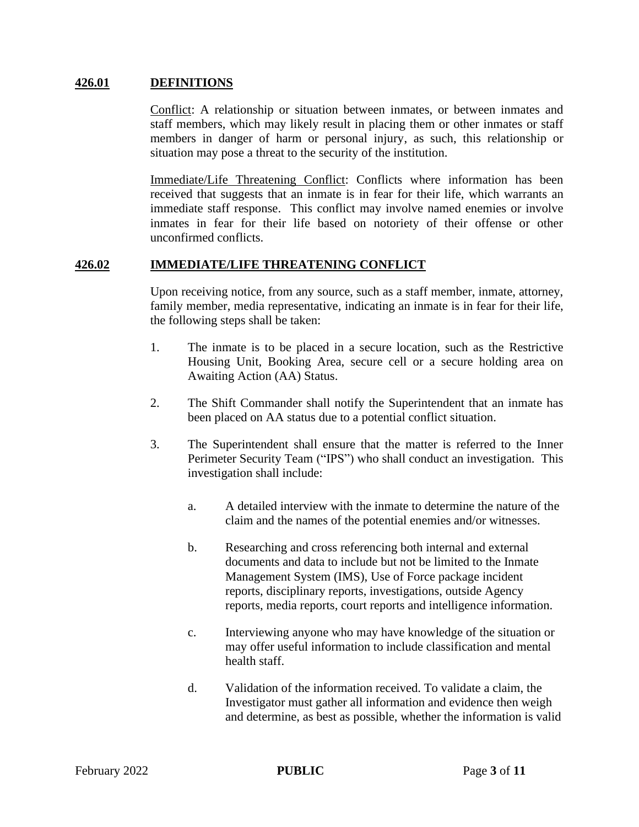#### **426.01 DEFINITIONS**

Conflict: A relationship or situation between inmates, or between inmates and staff members, which may likely result in placing them or other inmates or staff members in danger of harm or personal injury, as such, this relationship or situation may pose a threat to the security of the institution.

Immediate/Life Threatening Conflict: Conflicts where information has been received that suggests that an inmate is in fear for their life, which warrants an immediate staff response. This conflict may involve named enemies or involve inmates in fear for their life based on notoriety of their offense or other unconfirmed conflicts.

#### **426.02 IMMEDIATE/LIFE THREATENING CONFLICT**

Upon receiving notice, from any source, such as a staff member, inmate, attorney, family member, media representative, indicating an inmate is in fear for their life, the following steps shall be taken:

- 1. The inmate is to be placed in a secure location, such as the Restrictive Housing Unit, Booking Area, secure cell or a secure holding area on Awaiting Action (AA) Status.
- 2. The Shift Commander shall notify the Superintendent that an inmate has been placed on AA status due to a potential conflict situation.
- 3. The Superintendent shall ensure that the matter is referred to the Inner Perimeter Security Team ("IPS") who shall conduct an investigation. This investigation shall include:
	- a. A detailed interview with the inmate to determine the nature of the claim and the names of the potential enemies and/or witnesses.
	- b. Researching and cross referencing both internal and external documents and data to include but not be limited to the Inmate Management System (IMS), Use of Force package incident reports, disciplinary reports, investigations, outside Agency reports, media reports, court reports and intelligence information.
	- c. Interviewing anyone who may have knowledge of the situation or may offer useful information to include classification and mental health staff.
	- d. Validation of the information received. To validate a claim, the Investigator must gather all information and evidence then weigh and determine, as best as possible, whether the information is valid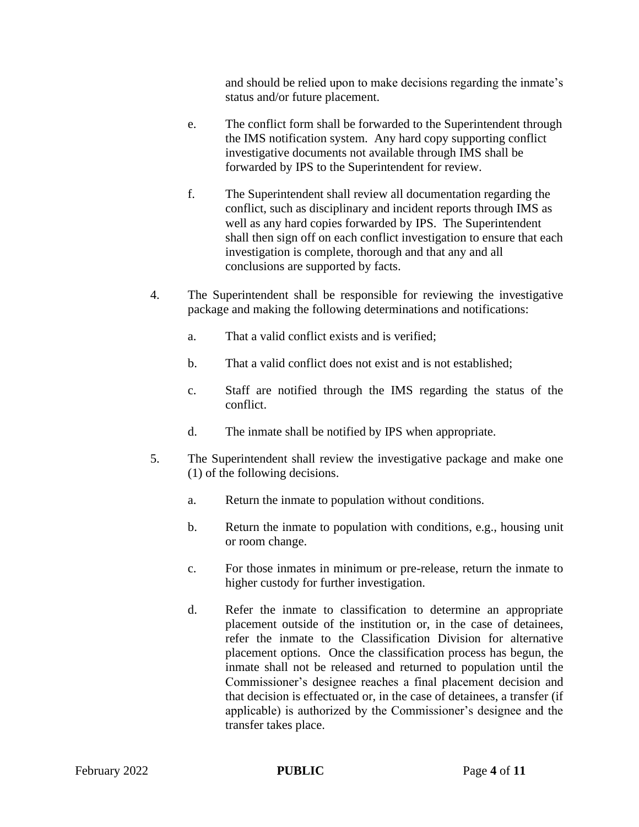and should be relied upon to make decisions regarding the inmate's status and/or future placement.

- e. The conflict form shall be forwarded to the Superintendent through the IMS notification system. Any hard copy supporting conflict investigative documents not available through IMS shall be forwarded by IPS to the Superintendent for review.
- f. The Superintendent shall review all documentation regarding the conflict, such as disciplinary and incident reports through IMS as well as any hard copies forwarded by IPS. The Superintendent shall then sign off on each conflict investigation to ensure that each investigation is complete, thorough and that any and all conclusions are supported by facts.
- 4. The Superintendent shall be responsible for reviewing the investigative package and making the following determinations and notifications:
	- a. That a valid conflict exists and is verified;
	- b. That a valid conflict does not exist and is not established;
	- c. Staff are notified through the IMS regarding the status of the conflict.
	- d. The inmate shall be notified by IPS when appropriate.
- 5. The Superintendent shall review the investigative package and make one (1) of the following decisions.
	- a. Return the inmate to population without conditions.
	- b. Return the inmate to population with conditions, e.g., housing unit or room change.
	- c. For those inmates in minimum or pre-release, return the inmate to higher custody for further investigation.
	- d. Refer the inmate to classification to determine an appropriate placement outside of the institution or, in the case of detainees, refer the inmate to the Classification Division for alternative placement options. Once the classification process has begun, the inmate shall not be released and returned to population until the Commissioner's designee reaches a final placement decision and that decision is effectuated or, in the case of detainees, a transfer (if applicable) is authorized by the Commissioner's designee and the transfer takes place.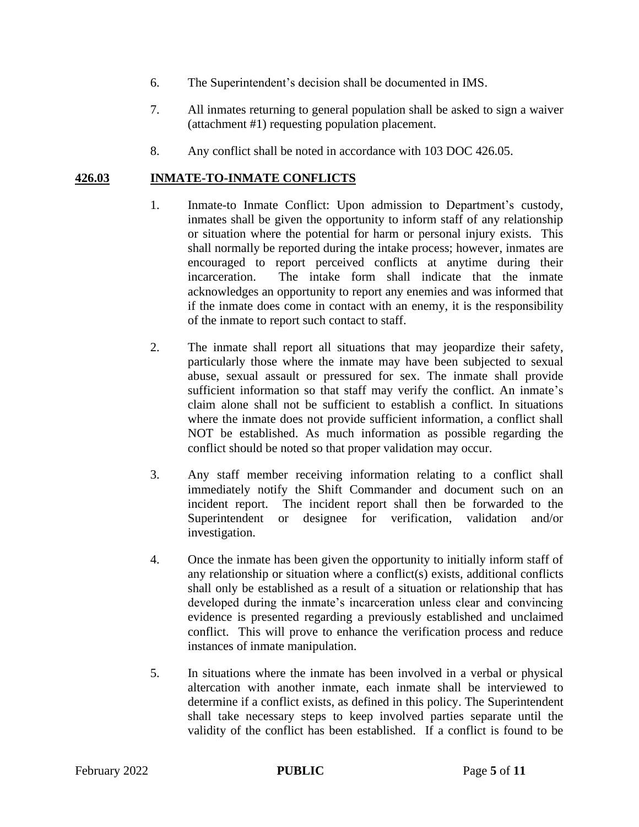- 6. The Superintendent's decision shall be documented in IMS.
- 7. All inmates returning to general population shall be asked to sign a waiver (attachment #1) requesting population placement.
- 8. Any conflict shall be noted in accordance with 103 DOC 426.05.

#### **426.03 INMATE-TO-INMATE CONFLICTS**

- 1. Inmate-to Inmate Conflict: Upon admission to Department's custody, inmates shall be given the opportunity to inform staff of any relationship or situation where the potential for harm or personal injury exists. This shall normally be reported during the intake process; however, inmates are encouraged to report perceived conflicts at anytime during their incarceration. The intake form shall indicate that the inmate acknowledges an opportunity to report any enemies and was informed that if the inmate does come in contact with an enemy, it is the responsibility of the inmate to report such contact to staff.
- 2. The inmate shall report all situations that may jeopardize their safety, particularly those where the inmate may have been subjected to sexual abuse, sexual assault or pressured for sex. The inmate shall provide sufficient information so that staff may verify the conflict. An inmate's claim alone shall not be sufficient to establish a conflict. In situations where the inmate does not provide sufficient information, a conflict shall NOT be established. As much information as possible regarding the conflict should be noted so that proper validation may occur.
- 3. Any staff member receiving information relating to a conflict shall immediately notify the Shift Commander and document such on an incident report. The incident report shall then be forwarded to the Superintendent or designee for verification, validation and/or investigation.
- 4. Once the inmate has been given the opportunity to initially inform staff of any relationship or situation where a conflict(s) exists, additional conflicts shall only be established as a result of a situation or relationship that has developed during the inmate's incarceration unless clear and convincing evidence is presented regarding a previously established and unclaimed conflict. This will prove to enhance the verification process and reduce instances of inmate manipulation.
- 5. In situations where the inmate has been involved in a verbal or physical altercation with another inmate, each inmate shall be interviewed to determine if a conflict exists, as defined in this policy. The Superintendent shall take necessary steps to keep involved parties separate until the validity of the conflict has been established. If a conflict is found to be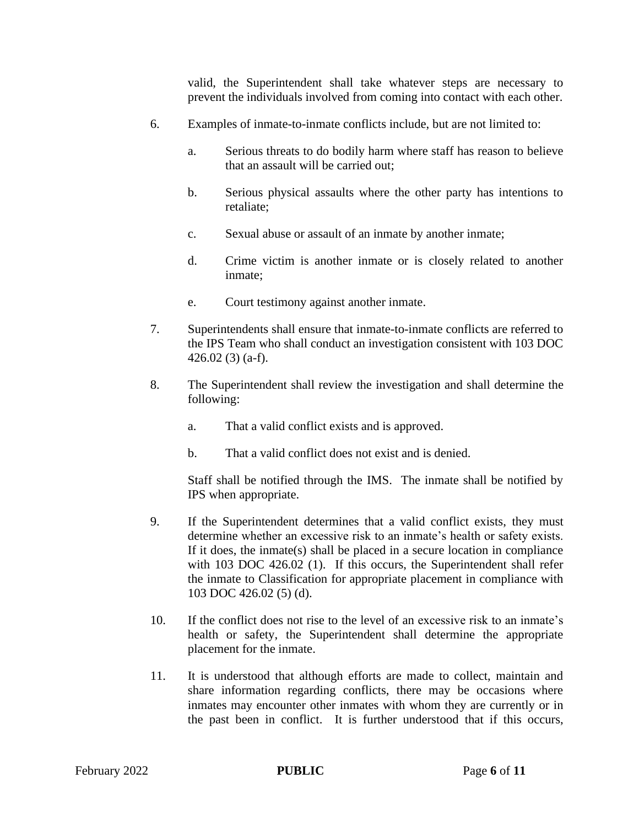valid, the Superintendent shall take whatever steps are necessary to prevent the individuals involved from coming into contact with each other.

- 6. Examples of inmate-to-inmate conflicts include, but are not limited to:
	- a. Serious threats to do bodily harm where staff has reason to believe that an assault will be carried out;
	- b. Serious physical assaults where the other party has intentions to retaliate;
	- c. Sexual abuse or assault of an inmate by another inmate;
	- d. Crime victim is another inmate or is closely related to another inmate;
	- e. Court testimony against another inmate.
- 7. Superintendents shall ensure that inmate-to-inmate conflicts are referred to the IPS Team who shall conduct an investigation consistent with 103 DOC 426.02 (3) (a-f).
- 8. The Superintendent shall review the investigation and shall determine the following:
	- a. That a valid conflict exists and is approved.
	- b. That a valid conflict does not exist and is denied.

Staff shall be notified through the IMS. The inmate shall be notified by IPS when appropriate.

- 9. If the Superintendent determines that a valid conflict exists, they must determine whether an excessive risk to an inmate's health or safety exists. If it does, the inmate(s) shall be placed in a secure location in compliance with 103 DOC 426.02 (1). If this occurs, the Superintendent shall refer the inmate to Classification for appropriate placement in compliance with 103 DOC 426.02 (5) (d).
- 10. If the conflict does not rise to the level of an excessive risk to an inmate's health or safety, the Superintendent shall determine the appropriate placement for the inmate.
- 11. It is understood that although efforts are made to collect, maintain and share information regarding conflicts, there may be occasions where inmates may encounter other inmates with whom they are currently or in the past been in conflict. It is further understood that if this occurs,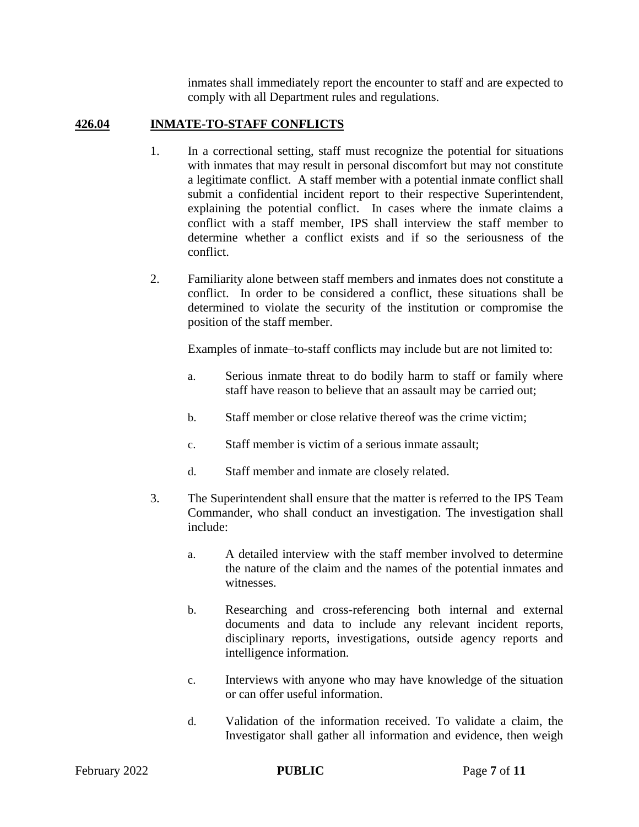inmates shall immediately report the encounter to staff and are expected to comply with all Department rules and regulations.

## **426.04 INMATE-TO-STAFF CONFLICTS**

- 1. In a correctional setting, staff must recognize the potential for situations with inmates that may result in personal discomfort but may not constitute a legitimate conflict. A staff member with a potential inmate conflict shall submit a confidential incident report to their respective Superintendent, explaining the potential conflict. In cases where the inmate claims a conflict with a staff member, IPS shall interview the staff member to determine whether a conflict exists and if so the seriousness of the conflict.
- 2. Familiarity alone between staff members and inmates does not constitute a conflict. In order to be considered a conflict, these situations shall be determined to violate the security of the institution or compromise the position of the staff member.

Examples of inmate–to-staff conflicts may include but are not limited to:

- a. Serious inmate threat to do bodily harm to staff or family where staff have reason to believe that an assault may be carried out;
- b. Staff member or close relative thereof was the crime victim;
- c. Staff member is victim of a serious inmate assault;
- d. Staff member and inmate are closely related.
- 3. The Superintendent shall ensure that the matter is referred to the IPS Team Commander, who shall conduct an investigation. The investigation shall include:
	- a. A detailed interview with the staff member involved to determine the nature of the claim and the names of the potential inmates and witnesses.
	- b. Researching and cross-referencing both internal and external documents and data to include any relevant incident reports, disciplinary reports, investigations, outside agency reports and intelligence information.
	- c. Interviews with anyone who may have knowledge of the situation or can offer useful information.
	- d. Validation of the information received. To validate a claim, the Investigator shall gather all information and evidence, then weigh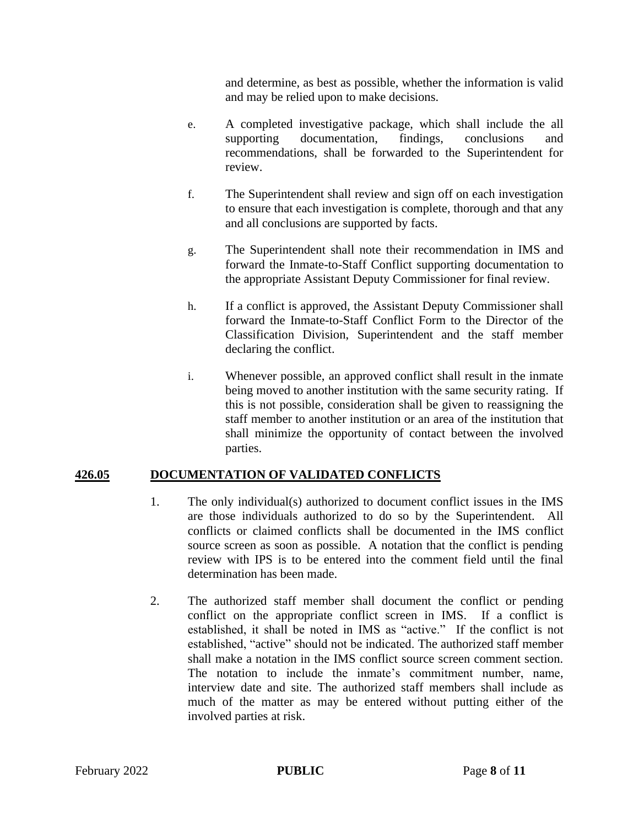and determine, as best as possible, whether the information is valid and may be relied upon to make decisions.

- e. A completed investigative package, which shall include the all supporting documentation, findings, conclusions and recommendations, shall be forwarded to the Superintendent for review.
- f. The Superintendent shall review and sign off on each investigation to ensure that each investigation is complete, thorough and that any and all conclusions are supported by facts.
- g. The Superintendent shall note their recommendation in IMS and forward the Inmate-to-Staff Conflict supporting documentation to the appropriate Assistant Deputy Commissioner for final review.
- h. If a conflict is approved, the Assistant Deputy Commissioner shall forward the Inmate-to-Staff Conflict Form to the Director of the Classification Division, Superintendent and the staff member declaring the conflict.
- i. Whenever possible, an approved conflict shall result in the inmate being moved to another institution with the same security rating. If this is not possible, consideration shall be given to reassigning the staff member to another institution or an area of the institution that shall minimize the opportunity of contact between the involved parties.

### **426.05 DOCUMENTATION OF VALIDATED CONFLICTS**

- 1. The only individual(s) authorized to document conflict issues in the IMS are those individuals authorized to do so by the Superintendent. All conflicts or claimed conflicts shall be documented in the IMS conflict source screen as soon as possible. A notation that the conflict is pending review with IPS is to be entered into the comment field until the final determination has been made.
- 2. The authorized staff member shall document the conflict or pending conflict on the appropriate conflict screen in IMS. If a conflict is established, it shall be noted in IMS as "active." If the conflict is not established, "active" should not be indicated. The authorized staff member shall make a notation in the IMS conflict source screen comment section. The notation to include the inmate's commitment number, name, interview date and site. The authorized staff members shall include as much of the matter as may be entered without putting either of the involved parties at risk.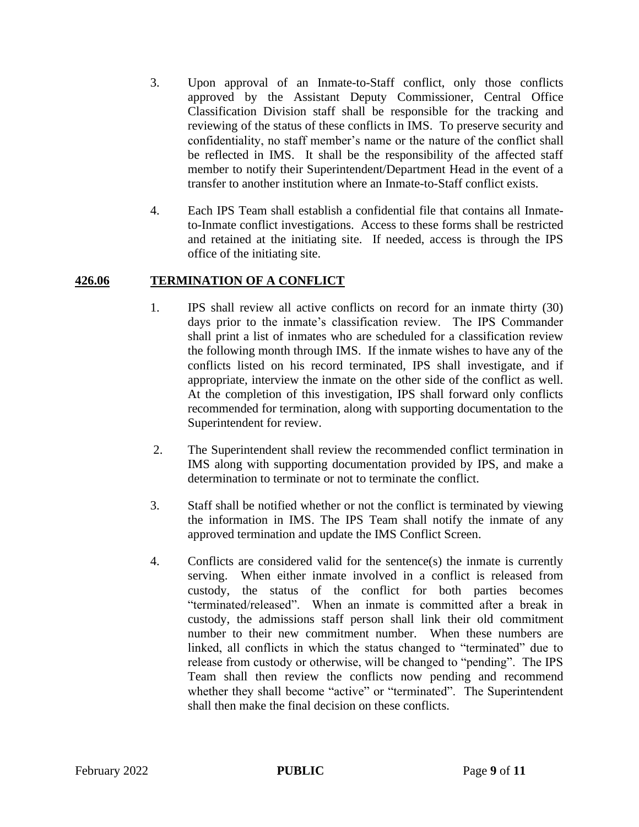- 3. Upon approval of an Inmate-to-Staff conflict, only those conflicts approved by the Assistant Deputy Commissioner, Central Office Classification Division staff shall be responsible for the tracking and reviewing of the status of these conflicts in IMS. To preserve security and confidentiality, no staff member's name or the nature of the conflict shall be reflected in IMS. It shall be the responsibility of the affected staff member to notify their Superintendent/Department Head in the event of a transfer to another institution where an Inmate-to-Staff conflict exists.
- 4. Each IPS Team shall establish a confidential file that contains all Inmateto-Inmate conflict investigations. Access to these forms shall be restricted and retained at the initiating site. If needed, access is through the IPS office of the initiating site.

#### **426.06 TERMINATION OF A CONFLICT**

- 1. IPS shall review all active conflicts on record for an inmate thirty (30) days prior to the inmate's classification review. The IPS Commander shall print a list of inmates who are scheduled for a classification review the following month through IMS. If the inmate wishes to have any of the conflicts listed on his record terminated, IPS shall investigate, and if appropriate, interview the inmate on the other side of the conflict as well. At the completion of this investigation, IPS shall forward only conflicts recommended for termination, along with supporting documentation to the Superintendent for review.
- 2. The Superintendent shall review the recommended conflict termination in IMS along with supporting documentation provided by IPS, and make a determination to terminate or not to terminate the conflict.
- 3. Staff shall be notified whether or not the conflict is terminated by viewing the information in IMS. The IPS Team shall notify the inmate of any approved termination and update the IMS Conflict Screen.
- 4. Conflicts are considered valid for the sentence(s) the inmate is currently serving. When either inmate involved in a conflict is released from custody, the status of the conflict for both parties becomes "terminated/released". When an inmate is committed after a break in custody, the admissions staff person shall link their old commitment number to their new commitment number. When these numbers are linked, all conflicts in which the status changed to "terminated" due to release from custody or otherwise, will be changed to "pending". The IPS Team shall then review the conflicts now pending and recommend whether they shall become "active" or "terminated". The Superintendent shall then make the final decision on these conflicts.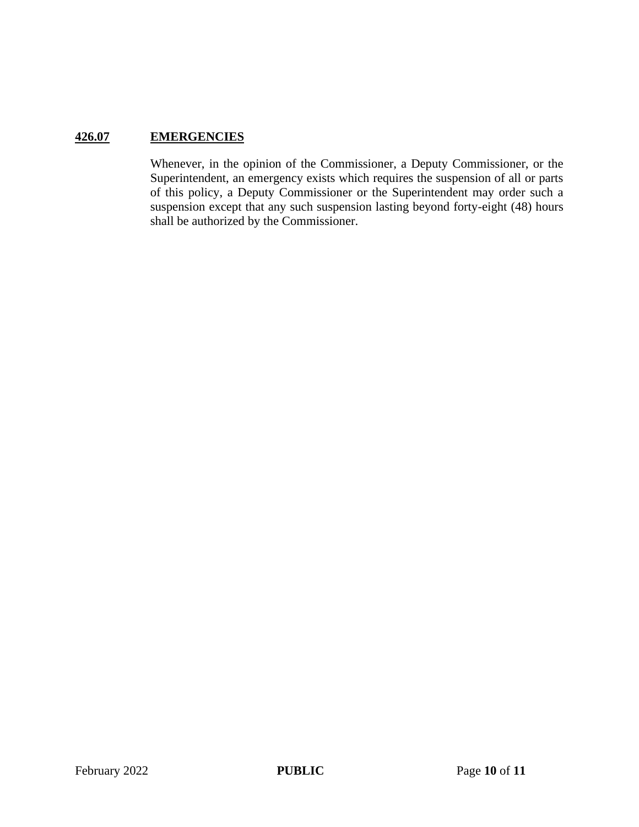## **426.07 EMERGENCIES**

Whenever, in the opinion of the Commissioner, a Deputy Commissioner, or the Superintendent, an emergency exists which requires the suspension of all or parts of this policy, a Deputy Commissioner or the Superintendent may order such a suspension except that any such suspension lasting beyond forty-eight (48) hours shall be authorized by the Commissioner.